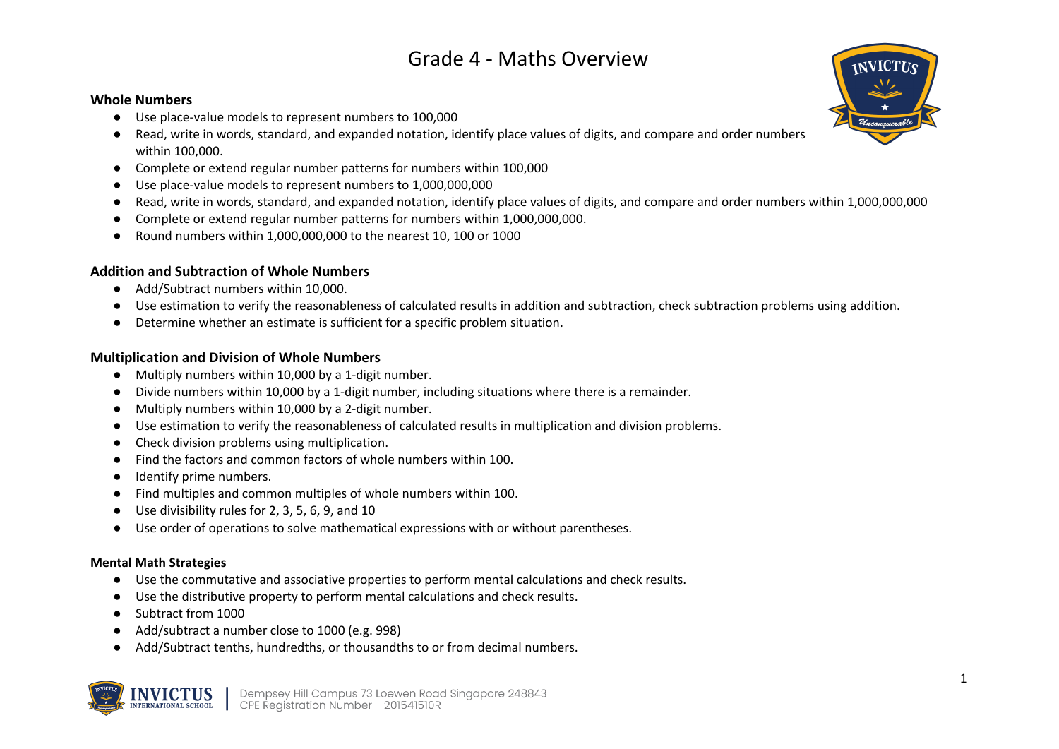### **Whole Numbers**

- Use place-value models to represent numbers to 100,000
- Read, write in words, standard, and expanded notation, identify place values of digits, and compare and order numbers within 100,000.
- Complete or extend regular number patterns for numbers within 100,000
- Use place-value models to represent numbers to 1,000,000,000
- Read, write in words, standard, and expanded notation, identify place values of digits, and compare and order numbers within 1,000,000,000
- Complete or extend regular number patterns for numbers within 1,000,000,000.
- Round numbers within 1,000,000,000 to the nearest 10, 100 or 1000

## **Addition and Subtraction of Whole Numbers**

- Add/Subtract numbers within 10,000.
- Use estimation to verify the reasonableness of calculated results in addition and subtraction, check subtraction problems using addition.
- Determine whether an estimate is sufficient for a specific problem situation.

## **Multiplication and Division of Whole Numbers**

- Multiply numbers within 10,000 by a 1-digit number.
- Divide numbers within 10,000 by a 1-digit number, including situations where there is a remainder.
- Multiply numbers within 10,000 by a 2-digit number.
- Use estimation to verify the reasonableness of calculated results in multiplication and division problems.
- Check division problems using multiplication.
- Find the factors and common factors of whole numbers within 100.
- Identify prime numbers.
- Find multiples and common multiples of whole numbers within 100.
- Use divisibility rules for 2, 3, 5, 6, 9, and 10
- Use order of operations to solve mathematical expressions with or without parentheses.

#### **Mental Math Strategies**

- Use the commutative and associative properties to perform mental calculations and check results.
- Use the distributive property to perform mental calculations and check results.
- Subtract from 1000
- Add/subtract a number close to 1000 (e.g. 998)
- Add/Subtract tenths, hundredths, or thousandths to or from decimal numbers.



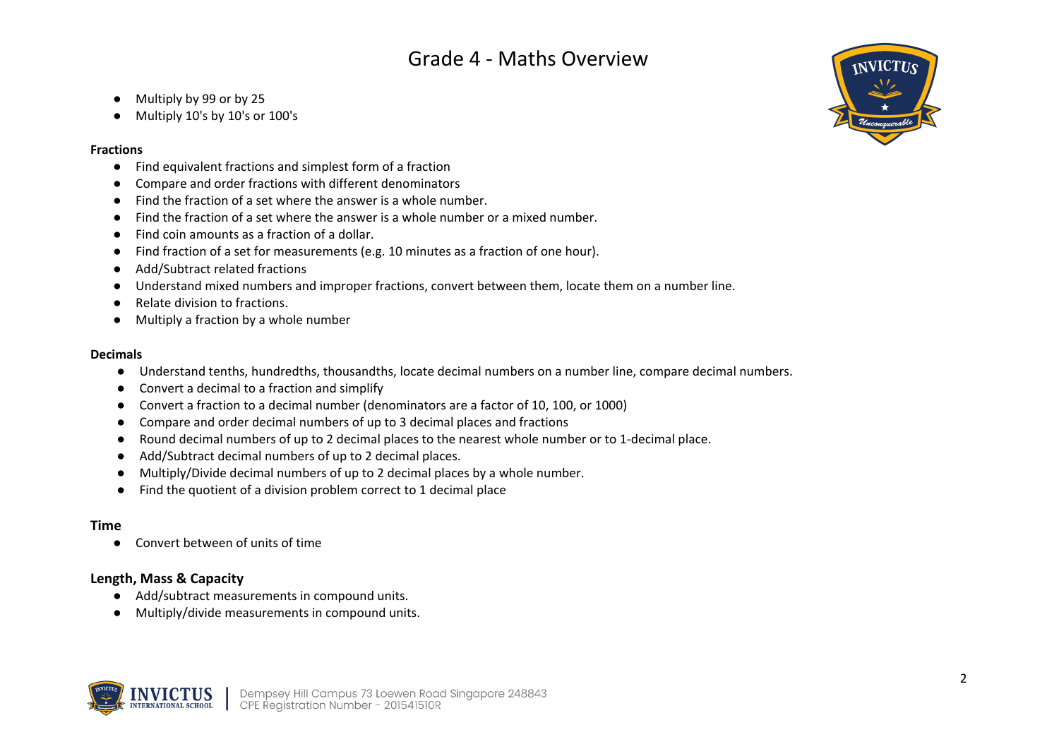- Multiply by 99 or by 25
- Multiply 10's by 10's or 100's

### **Fractions**

- Find equivalent fractions and simplest form of a fraction
- Compare and order fractions with different denominators
- Find the fraction of a set where the answer is a whole number.
- Find the fraction of a set where the answer is a whole number or a mixed number.
- Find coin amounts as a fraction of a dollar.
- Find fraction of a set for measurements (e.g. 10 minutes as a fraction of one hour).
- Add/Subtract related fractions
- Understand mixed numbers and improper fractions, convert between them, locate them on a number line.
- Relate division to fractions.
- Multiply a fraction by a whole number

### **Decimals**

- Understand tenths, hundredths, thousandths, locate decimal numbers on a number line, compare decimal numbers.
- Convert a decimal to a fraction and simplify
- Convert a fraction to a decimal number (denominators are a factor of 10, 100, or 1000)
- Compare and order decimal numbers of up to 3 decimal places and fractions
- Round decimal numbers of up to 2 decimal places to the nearest whole number or to 1-decimal place.
- Add/Subtract decimal numbers of up to 2 decimal places.
- Multiply/Divide decimal numbers of up to 2 decimal places by a whole number.
- Find the quotient of a division problem correct to 1 decimal place

## **Time**

● Convert between of units of time

## **Length, Mass & Capacity**

- Add/subtract measurements in compound units.
- Multiply/divide measurements in compound units.



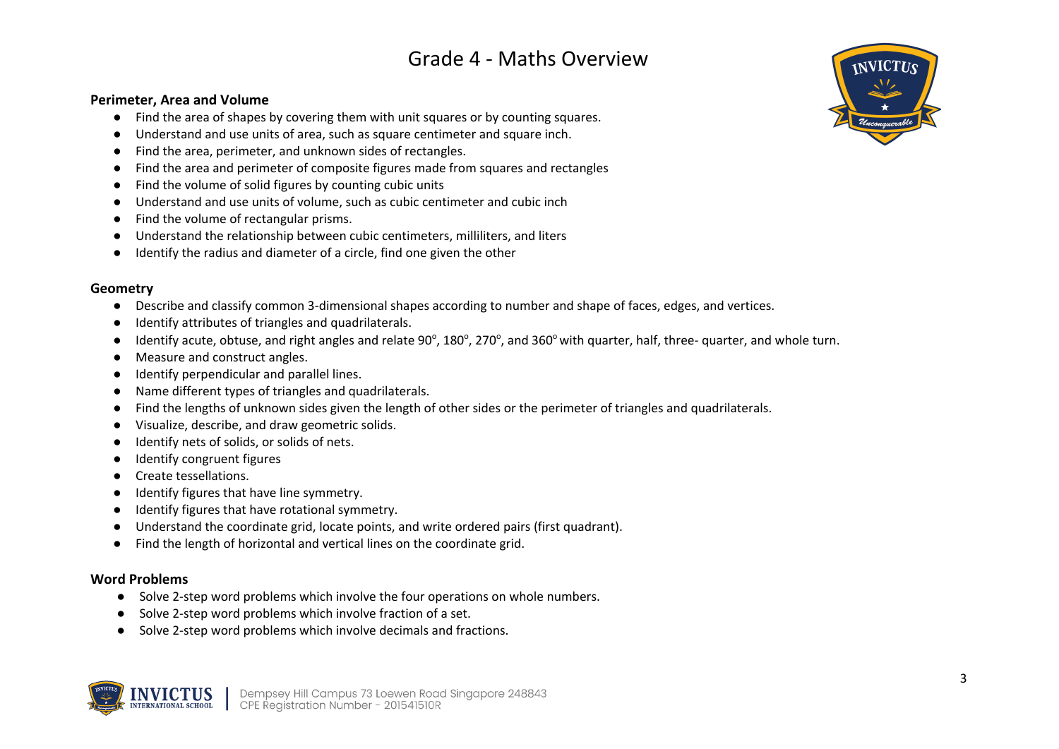#### **Perimeter, Area and Volume**

- Find the area of shapes by covering them with unit squares or by counting squares.
- Understand and use units of area, such as square centimeter and square inch.
- Find the area, perimeter, and unknown sides of rectangles.
- Find the area and perimeter of composite figures made from squares and rectangles
- Find the volume of solid figures by counting cubic units
- Understand and use units of volume, such as cubic centimeter and cubic inch
- Find the volume of rectangular prisms.
- Understand the relationship between cubic centimeters, milliliters, and liters
- Identify the radius and diameter of a circle, find one given the other

#### **Geometry**

- Describe and classify common 3-dimensional shapes according to number and shape of faces, edges, and vertices.
- Identify attributes of triangles and quadrilaterals.
- Identify acute, obtuse, and right angles and relate 90°, 180°, 270°, and 360° with quarter, half, three- quarter, and whole turn.
- Measure and construct angles.
- Identify perpendicular and parallel lines.
- Name different types of triangles and quadrilaterals.
- Find the lengths of unknown sides given the length of other sides or the perimeter of triangles and quadrilaterals.
- Visualize, describe, and draw geometric solids.
- Identify nets of solids, or solids of nets.
- Identify congruent figures
- Create tessellations.
- Identify figures that have line symmetry.
- Identify figures that have rotational symmetry.
- Understand the coordinate grid, locate points, and write ordered pairs (first quadrant).
- Find the length of horizontal and vertical lines on the coordinate grid.

### **Word Problems**

- Solve 2-step word problems which involve the four operations on whole numbers.
- Solve 2-step word problems which involve fraction of a set.
- Solve 2-step word problems which involve decimals and fractions.